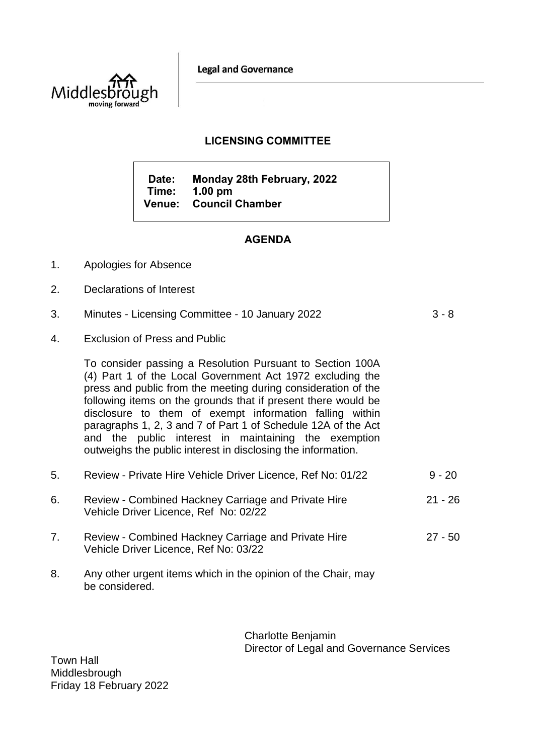**Legal and Governance** 



## **LICENSING COMMITTEE**

**Date: Monday 28th February, 2022 Time: 1.00 pm Venue: Council Chamber**

## **AGENDA**

- 1. Apologies for Absence
- 2. Declarations of Interest

| 3. | Minutes - Licensing Committee - 10 January 2022 | $3 - 8$ |
|----|-------------------------------------------------|---------|
|    |                                                 |         |

4. Exclusion of Press and Public

To consider passing a Resolution Pursuant to Section 100A (4) Part 1 of the Local Government Act 1972 excluding the press and public from the meeting during consideration of the following items on the grounds that if present there would be disclosure to them of exempt information falling within paragraphs 1, 2, 3 and 7 of Part 1 of Schedule 12A of the Act and the public interest in maintaining the exemption outweighs the public interest in disclosing the information.

- 5. Review Private Hire Vehicle Driver Licence, Ref No: 01/22 9 20
- 6. Review Combined Hackney Carriage and Private Hire Vehicle Driver Licence, Ref No: 02/22 21 - 26
- 7. Review Combined Hackney Carriage and Private Hire Vehicle Driver Licence, Ref No: 03/22 27 - 50
- 8. Any other urgent items which in the opinion of the Chair, may be considered.

Charlotte Benjamin Director of Legal and Governance Services

Town Hall **Middlesbrough** Friday 18 February 2022